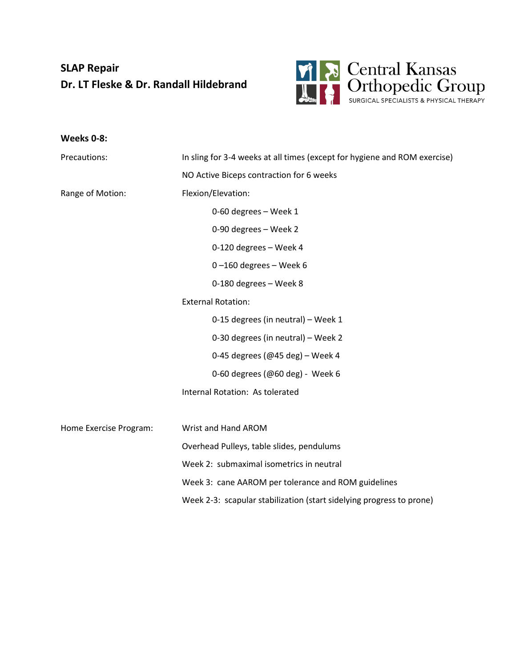## **SLAP Repair Dr. LT Fleske & Dr. Randall Hildebrand**



| Weeks 0-8:             |                                                                           |
|------------------------|---------------------------------------------------------------------------|
| Precautions:           | In sling for 3-4 weeks at all times (except for hygiene and ROM exercise) |
|                        | NO Active Biceps contraction for 6 weeks                                  |
| Range of Motion:       | Flexion/Elevation:                                                        |
|                        | 0-60 degrees - Week 1                                                     |
|                        | 0-90 degrees - Week 2                                                     |
|                        | 0-120 degrees - Week 4                                                    |
|                        | $0 - 160$ degrees - Week 6                                                |
|                        | 0-180 degrees - Week 8                                                    |
|                        | <b>External Rotation:</b>                                                 |
|                        | 0-15 degrees (in neutral) - Week 1                                        |
|                        | 0-30 degrees (in neutral) - Week 2                                        |
|                        | 0-45 degrees (@45 deg) - Week 4                                           |
|                        | 0-60 degrees (@60 deg) - Week 6                                           |
|                        | Internal Rotation: As tolerated                                           |
|                        |                                                                           |
| Home Exercise Program: | Wrist and Hand AROM                                                       |
|                        | Overhead Pulleys, table slides, pendulums                                 |
|                        | Week 2: submaximal isometrics in neutral                                  |
|                        | Week 3: cane AAROM per tolerance and ROM guidelines                       |
|                        | Week 2-3: scapular stabilization (start sidelying progress to prone)      |